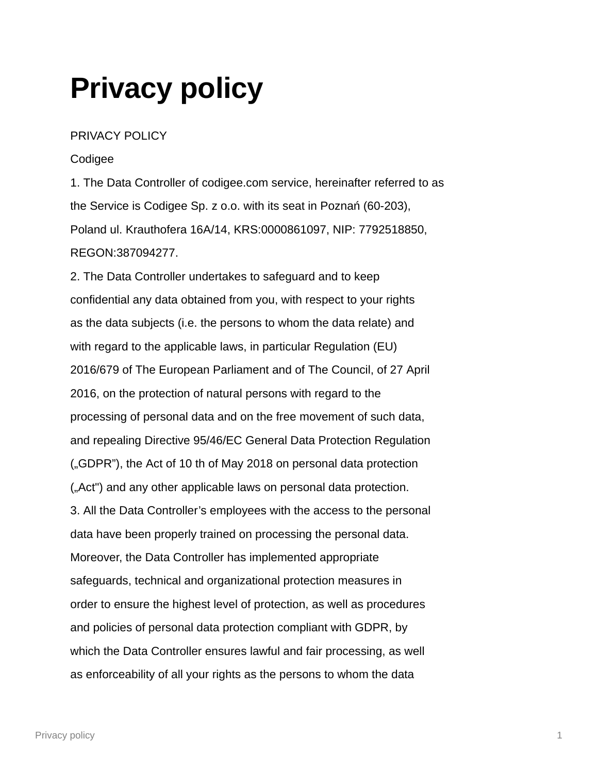## **Privacy policy**

## PRIVACY POLICY

## Codigee

1. The Data Controller of codigee.com service, hereinafter referred to as the Service is Codigee Sp. z o.o. with its seat in Poznań (60-203), Poland ul. Krauthofera 16A/14, KRS:0000861097, NIP: 7792518850, REGON:387094277.

2. The Data Controller undertakes to safeguard and to keep confidential any data obtained from you, with respect to your rights as the data subjects (i.e. the persons to whom the data relate) and with regard to the applicable laws, in particular Regulation (EU) 2016/679 of The European Parliament and of The Council, of 27 April 2016, on the protection of natural persons with regard to the processing of personal data and on the free movement of such data, and repealing Directive 95/46/EC General Data Protection Regulation ("GDPR"), the Act of 10 th of May 2018 on personal data protection ("Act") and any other applicable laws on personal data protection. 3. All the Data Controller's employees with the access to the personal data have been properly trained on processing the personal data. Moreover, the Data Controller has implemented appropriate safeguards, technical and organizational protection measures in order to ensure the highest level of protection, as well as procedures and policies of personal data protection compliant with GDPR, by which the Data Controller ensures lawful and fair processing, as well as enforceability of all your rights as the persons to whom the data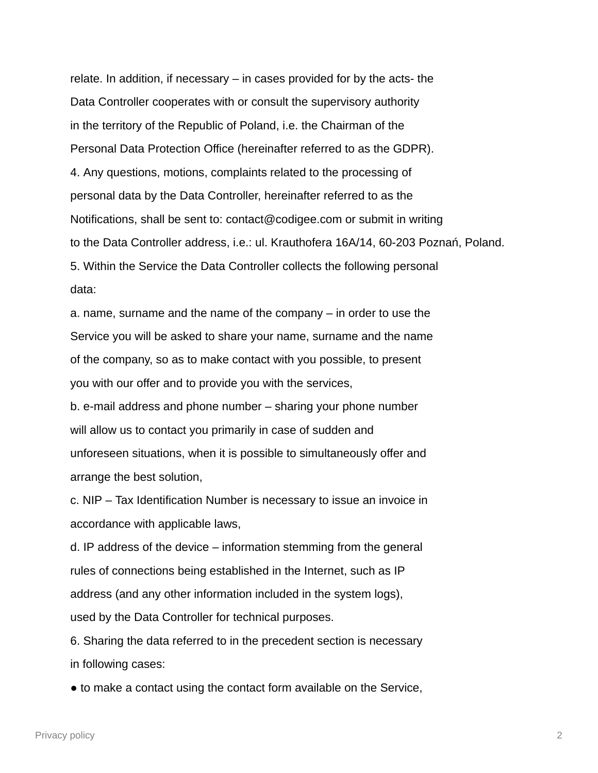relate. In addition, if necessary – in cases provided for by the acts- the Data Controller cooperates with or consult the supervisory authority in the territory of the Republic of Poland, i.e. the Chairman of the Personal Data Protection Office (hereinafter referred to as the GDPR). 4. Any questions, motions, complaints related to the processing of personal data by the Data Controller, hereinafter referred to as the Notifications, shall be sent to: contact@codigee.com or submit in writing to the Data Controller address, i.e.: ul. Krauthofera 16A/14, 60-203 Poznań, Poland. 5. Within the Service the Data Controller collects the following personal data:

a. name, surname and the name of the company – in order to use the Service you will be asked to share your name, surname and the name of the company, so as to make contact with you possible, to present you with our offer and to provide you with the services,

b. e-mail address and phone number – sharing your phone number will allow us to contact you primarily in case of sudden and unforeseen situations, when it is possible to simultaneously offer and arrange the best solution,

c. NIP – Tax Identification Number is necessary to issue an invoice in accordance with applicable laws,

d. IP address of the device – information stemming from the general rules of connections being established in the Internet, such as IP address (and any other information included in the system logs), used by the Data Controller for technical purposes.

6. Sharing the data referred to in the precedent section is necessary in following cases:

● to make a contact using the contact form available on the Service,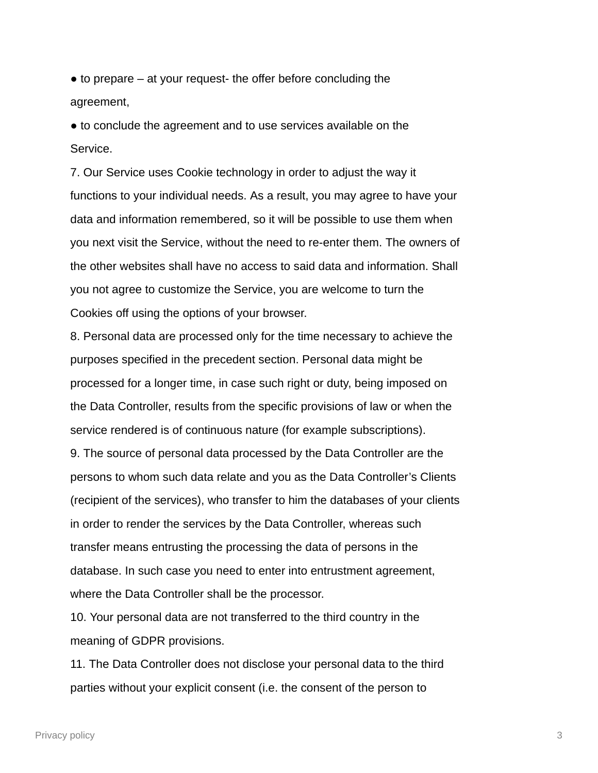$\bullet$  to prepare  $-$  at your request- the offer before concluding the agreement,

● to conclude the agreement and to use services available on the Service.

7. Our Service uses Cookie technology in order to adjust the way it functions to your individual needs. As a result, you may agree to have your data and information remembered, so it will be possible to use them when you next visit the Service, without the need to re-enter them. The owners of the other websites shall have no access to said data and information. Shall you not agree to customize the Service, you are welcome to turn the Cookies off using the options of your browser.

8. Personal data are processed only for the time necessary to achieve the purposes specified in the precedent section. Personal data might be processed for a longer time, in case such right or duty, being imposed on the Data Controller, results from the specific provisions of law or when the service rendered is of continuous nature (for example subscriptions).

9. The source of personal data processed by the Data Controller are the persons to whom such data relate and you as the Data Controller's Clients (recipient of the services), who transfer to him the databases of your clients in order to render the services by the Data Controller, whereas such transfer means entrusting the processing the data of persons in the database. In such case you need to enter into entrustment agreement, where the Data Controller shall be the processor.

10. Your personal data are not transferred to the third country in the meaning of GDPR provisions.

11. The Data Controller does not disclose your personal data to the third parties without your explicit consent (i.e. the consent of the person to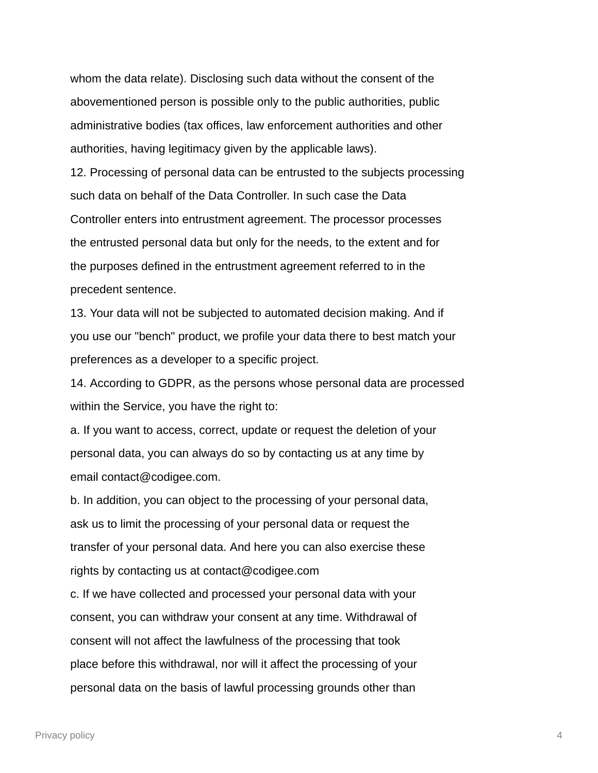whom the data relate). Disclosing such data without the consent of the abovementioned person is possible only to the public authorities, public administrative bodies (tax offices, law enforcement authorities and other authorities, having legitimacy given by the applicable laws).

12. Processing of personal data can be entrusted to the subjects processing such data on behalf of the Data Controller. In such case the Data Controller enters into entrustment agreement. The processor processes the entrusted personal data but only for the needs, to the extent and for the purposes defined in the entrustment agreement referred to in the precedent sentence.

13. Your data will not be subjected to automated decision making. And if you use our "bench" product, we profile your data there to best match your preferences as a developer to a specific project.

14. According to GDPR, as the persons whose personal data are processed within the Service, you have the right to:

a. If you want to access, correct, update or request the deletion of your personal data, you can always do so by contacting us at any time by email contact@codigee.com.

b. In addition, you can object to the processing of your personal data, ask us to limit the processing of your personal data or request the transfer of your personal data. And here you can also exercise these rights by contacting us at contact@codigee.com

c. If we have collected and processed your personal data with your consent, you can withdraw your consent at any time. Withdrawal of consent will not affect the lawfulness of the processing that took place before this withdrawal, nor will it affect the processing of your personal data on the basis of lawful processing grounds other than